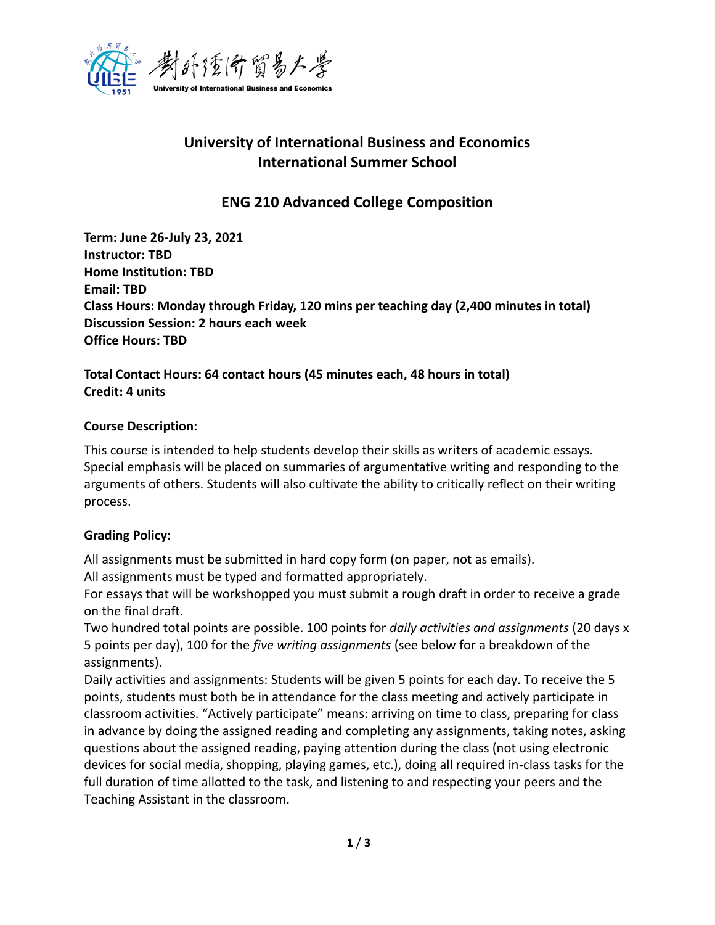

# **University of International Business and Economics International Summer School**

**ENG 210 Advanced College Composition**

**Term: June 26-July 23, 2021 Instructor: TBD Home Institution: TBD Email: TBD Class Hours: Monday through Friday, 120 mins per teaching day (2,400 minutes in total) Discussion Session: 2 hours each week Office Hours: TBD**

**Total Contact Hours: 64 contact hours (45 minutes each, 48 hours in total) Credit: 4 units**

# **Course Description:**

This course is intended to help students develop their skills as writers of academic essays. Special emphasis will be placed on summaries of argumentative writing and responding to the arguments of others. Students will also cultivate the ability to critically reflect on their writing process.

# **Grading Policy:**

All assignments must be submitted in hard copy form (on paper, not as emails).

All assignments must be typed and formatted appropriately.

For essays that will be workshopped you must submit a rough draft in order to receive a grade on the final draft.

Two hundred total points are possible. 100 points for *daily activities and assignments* (20 days x 5 points per day), 100 for the *five writing assignments* (see below for a breakdown of the assignments).

Daily activities and assignments: Students will be given 5 points for each day. To receive the 5 points, students must both be in attendance for the class meeting and actively participate in classroom activities. "Actively participate" means: arriving on time to class, preparing for class in advance by doing the assigned reading and completing any assignments, taking notes, asking questions about the assigned reading, paying attention during the class (not using electronic devices for social media, shopping, playing games, etc.), doing all required in-class tasks for the full duration of time allotted to the task, and listening to and respecting your peers and the Teaching Assistant in the classroom.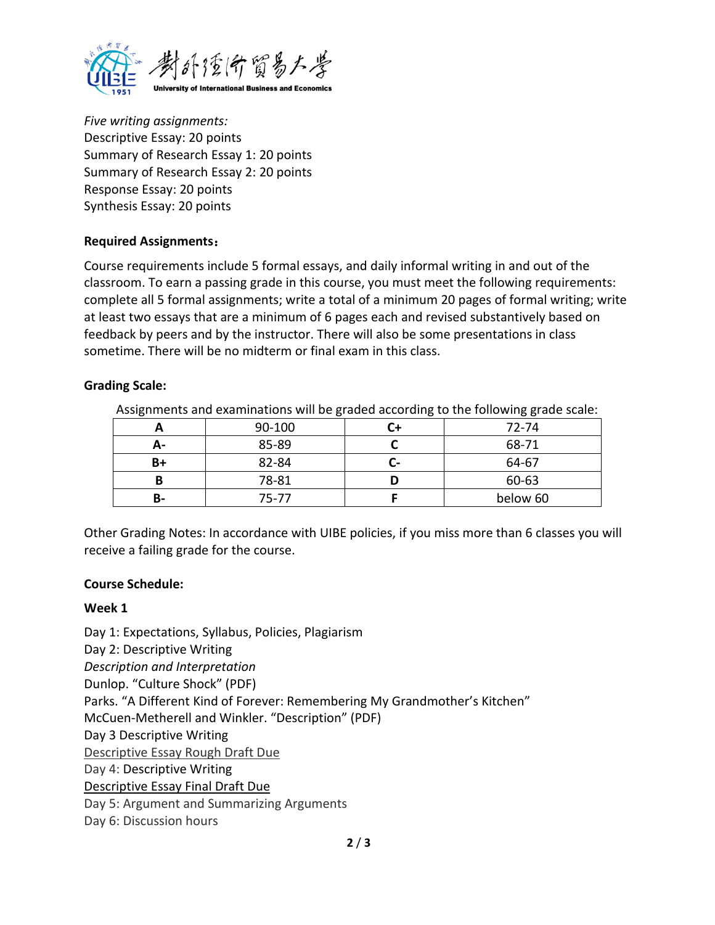

*Five writing assignments:* Descriptive Essay: 20 points Summary of Research Essay 1: 20 points Summary of Research Essay 2: 20 points Response Essay: 20 points Synthesis Essay: 20 points

# **Required Assignments**:

Course requirements include 5 formal essays, and daily informal writing in and out of the classroom. To earn a passing grade in this course, you must meet the following requirements: complete all 5 formal assignments; write a total of a minimum 20 pages of formal writing; write at least two essays that are a minimum of 6 pages each and revised substantively based on feedback by peers and by the instructor. There will also be some presentations in class sometime. There will be no midterm or final exam in this class.

# **Grading Scale:**

| Assignments and examinations will be graded according to the following grade scale. |        |  |          |
|-------------------------------------------------------------------------------------|--------|--|----------|
|                                                                                     | 90-100 |  | 72-74    |
| А-                                                                                  | 85-89  |  | 68-71    |
| B+                                                                                  | 82-84  |  | 64-67    |
|                                                                                     | 78-81  |  | 60-63    |
| В-                                                                                  | 75-77  |  | below 60 |

Assignments and examinations will be graded according to the following grade scale:

Other Grading Notes: In accordance with UIBE policies, if you miss more than 6 classes you will receive a failing grade for the course.

#### **Course Schedule:**

#### **Week 1**

Day 1: Expectations, Syllabus, Policies, Plagiarism Day 2: Descriptive Writing *Description and Interpretation* Dunlop. "Culture Shock" (PDF) Parks. "A Different Kind of Forever: Remembering My Grandmother's Kitchen" McCuen-Metherell and Winkler. "Description" (PDF) Day 3 Descriptive Writing Descriptive Essay Rough Draft Due Day 4: Descriptive Writing Descriptive Essay Final Draft Due Day 5: Argument and Summarizing Arguments Day 6: Discussion hours